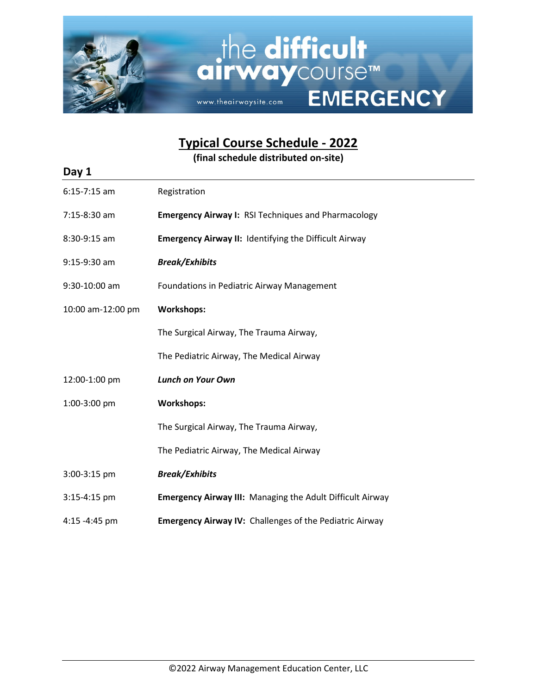

**Typical Course Schedule - 2022**

**(final schedule distributed on-site)**

| Day 1             |                                                                  |
|-------------------|------------------------------------------------------------------|
| $6:15-7:15$ am    | Registration                                                     |
| 7:15-8:30 am      | <b>Emergency Airway I: RSI Techniques and Pharmacology</b>       |
| 8:30-9:15 am      | <b>Emergency Airway II: Identifying the Difficult Airway</b>     |
| $9:15-9:30$ am    | <b>Break/Exhibits</b>                                            |
| 9:30-10:00 am     | Foundations in Pediatric Airway Management                       |
| 10:00 am-12:00 pm | <b>Workshops:</b>                                                |
|                   | The Surgical Airway, The Trauma Airway,                          |
|                   | The Pediatric Airway, The Medical Airway                         |
| 12:00-1:00 pm     | <b>Lunch on Your Own</b>                                         |
| 1:00-3:00 pm      | <b>Workshops:</b>                                                |
|                   | The Surgical Airway, The Trauma Airway,                          |
|                   | The Pediatric Airway, The Medical Airway                         |
| 3:00-3:15 pm      | <b>Break/Exhibits</b>                                            |
| 3:15-4:15 pm      | <b>Emergency Airway III: Managing the Adult Difficult Airway</b> |
| 4:15 -4:45 pm     | <b>Emergency Airway IV: Challenges of the Pediatric Airway</b>   |